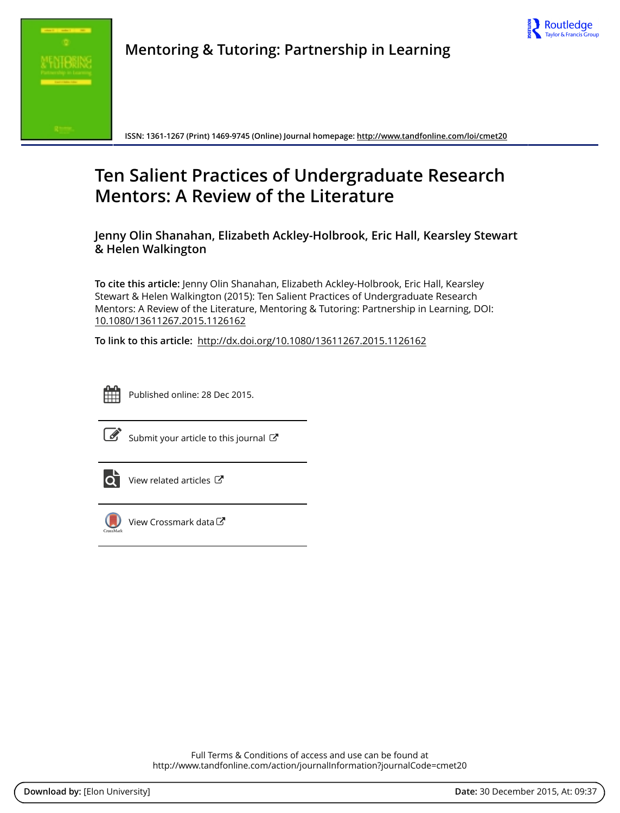



**Mentoring & Tutoring: Partnership in Learning**

**ISSN: 1361-1267 (Print) 1469-9745 (Online) Journal homepage:<http://www.tandfonline.com/loi/cmet20>**

# **Ten Salient Practices of Undergraduate Research Mentors: A Review of the Literature**

**Jenny Olin Shanahan, Elizabeth Ackley-Holbrook, Eric Hall, Kearsley Stewart & Helen Walkington**

**To cite this article:** Jenny Olin Shanahan, Elizabeth Ackley-Holbrook, Eric Hall, Kearsley Stewart & Helen Walkington (2015): Ten Salient Practices of Undergraduate Research Mentors: A Review of the Literature, Mentoring & Tutoring: Partnership in Learning, DOI: [10.1080/13611267.2015.1126162](http://www.tandfonline.com/action/showCitFormats?doi=10.1080/13611267.2015.1126162)

**To link to this article:** <http://dx.doi.org/10.1080/13611267.2015.1126162>



Published online: 28 Dec 2015.



 $\overrightarrow{S}$  [Submit your article to this journal](http://www.tandfonline.com/action/authorSubmission?journalCode=cmet20&page=instructions)  $\overrightarrow{S}$ 



[View related articles](http://www.tandfonline.com/doi/mlt/10.1080/13611267.2015.1126162) C



[View Crossmark data](http://crossmark.crossref.org/dialog/?doi=10.1080/13611267.2015.1126162&domain=pdf&date_stamp=2015-12-28) C

Full Terms & Conditions of access and use can be found at <http://www.tandfonline.com/action/journalInformation?journalCode=cmet20>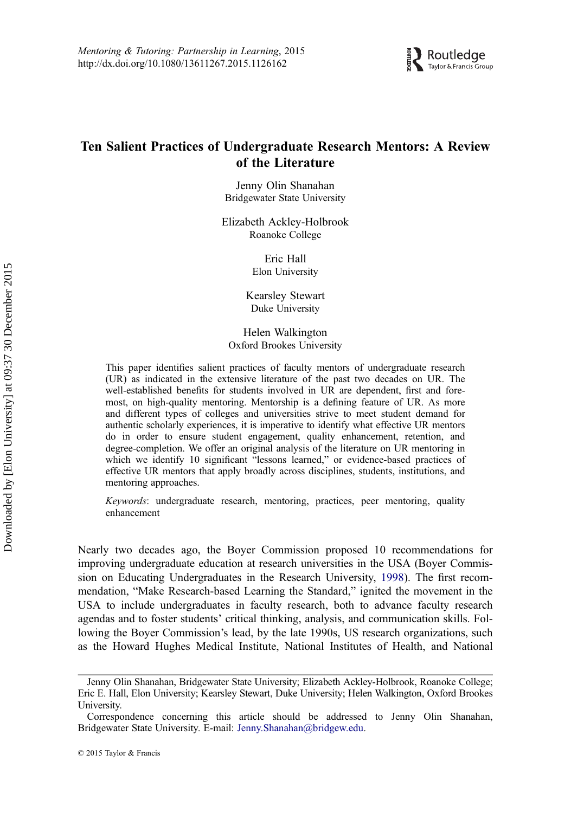

## Ten Salient Practices of Undergraduate Research Mentors: A Review of the Literature

Jenny Olin Shanahan Bridgewater State University

Elizabeth Ackley-Holbrook Roanoke College

> Eric Hall Elon University

Kearsley Stewart Duke University

Helen Walkington Oxford Brookes University

This paper identifies salient practices of faculty mentors of undergraduate research (UR) as indicated in the extensive literature of the past two decades on UR. The well-established benefits for students involved in UR are dependent, first and foremost, on high-quality mentoring. Mentorship is a defining feature of UR. As more and different types of colleges and universities strive to meet student demand for authentic scholarly experiences, it is imperative to identify what effective UR mentors do in order to ensure student engagement, quality enhancement, retention, and degree-completion. We offer an original analysis of the literature on UR mentoring in which we identify 10 significant "lessons learned," or evidence-based practices of effective UR mentors that apply broadly across disciplines, students, institutions, and mentoring approaches.

Keywords: undergraduate research, mentoring, practices, peer mentoring, quality enhancement

Nearly two decades ago, the Boyer Commission proposed 10 recommendations for improving undergraduate education at research universities in the USA (Boyer Commission on Educating Undergraduates in the Research University, [1998](#page-14-0)). The first recommendation, "Make Research-based Learning the Standard," ignited the movement in the USA to include undergraduates in faculty research, both to advance faculty research agendas and to foster students' critical thinking, analysis, and communication skills. Following the Boyer Commission's lead, by the late 1990s, US research organizations, such as the Howard Hughes Medical Institute, National Institutes of Health, and National

Jenny Olin Shanahan, Bridgewater State University; Elizabeth Ackley-Holbrook, Roanoke College; Eric E. Hall, Elon University; Kearsley Stewart, Duke University; Helen Walkington, Oxford Brookes University.

Correspondence concerning this article should be addressed to Jenny Olin Shanahan, Bridgewater State University. E-mail: [Jenny.Shanahan@bridgew.edu](mailto:Jenny.Shanahan@bridgew.edu).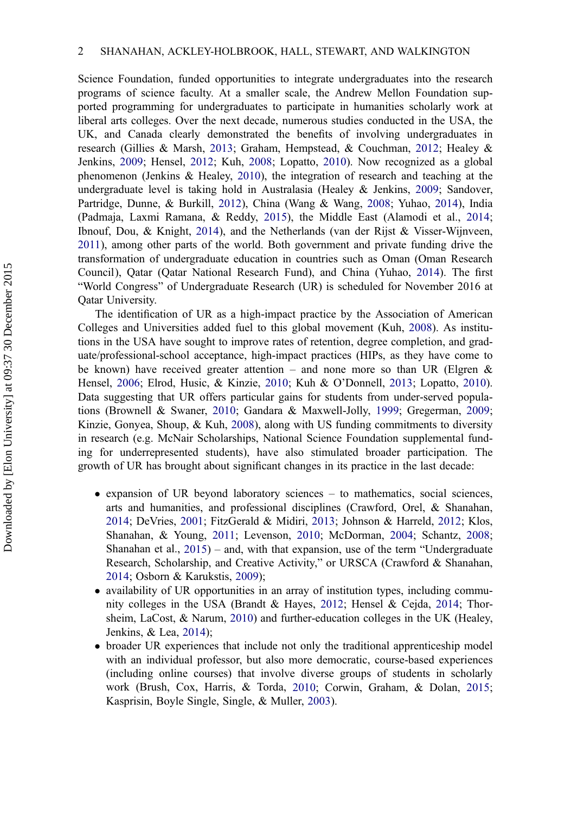Science Foundation, funded opportunities to integrate undergraduates into the research programs of science faculty. At a smaller scale, the Andrew Mellon Foundation supported programming for undergraduates to participate in humanities scholarly work at liberal arts colleges. Over the next decade, numerous studies conducted in the USA, the UK, and Canada clearly demonstrated the benefits of involving undergraduates in research (Gillies & Marsh, [2013](#page-15-0); Graham, Hempstead, & Couchman, [2012](#page-15-0); Healey & Jenkins, [2009;](#page-15-0) Hensel, [2012;](#page-15-0) Kuh, [2008](#page-16-0); Lopatto, [2010](#page-16-0)). Now recognized as a global phenomenon (Jenkins & Healey, [2010](#page-16-0)), the integration of research and teaching at the undergraduate level is taking hold in Australasia (Healey & Jenkins, [2009](#page-15-0); Sandover, Partridge, Dunne, & Burkill, [2012\)](#page-17-0), China (Wang & Wang, [2008](#page-18-0); Yuhao, [2014\)](#page-18-0), India (Padmaja, Laxmi Ramana, & Reddy, [2015](#page-17-0)), the Middle East (Alamodi et al., [2014](#page-14-0); Ibnouf, Dou, & Knight, [2014](#page-16-0)), and the Netherlands (van der Rijst & Visser-Wijnveen, [2011\)](#page-17-0), among other parts of the world. Both government and private funding drive the transformation of undergraduate education in countries such as Oman (Oman Research Council), Qatar (Qatar National Research Fund), and China (Yuhao, [2014](#page-18-0)). The first "World Congress" of Undergraduate Research (UR) is scheduled for November 2016 at Qatar University.

The identification of UR as a high-impact practice by the Association of American Colleges and Universities added fuel to this global movement (Kuh, [2008](#page-16-0)). As institutions in the USA have sought to improve rates of retention, degree completion, and graduate/professional-school acceptance, high-impact practices (HIPs, as they have come to be known) have received greater attention – and none more so than UR (Elgren & Hensel, [2006;](#page-15-0) Elrod, Husic, & Kinzie, [2010](#page-15-0); Kuh & O'Donnell, [2013;](#page-16-0) Lopatto, [2010](#page-16-0)). Data suggesting that UR offers particular gains for students from under-served populations (Brownell & Swaner, [2010;](#page-14-0) Gandara & Maxwell-Jolly, [1999;](#page-15-0) Gregerman, [2009](#page-15-0); Kinzie, Gonyea, Shoup, & Kuh, [2008\)](#page-16-0), along with US funding commitments to diversity in research (e.g. McNair Scholarships, National Science Foundation supplemental funding for underrepresented students), have also stimulated broader participation. The growth of UR has brought about significant changes in its practice in the last decade:

- expansion of UR beyond laboratory sciences to mathematics, social sciences, arts and humanities, and professional disciplines (Crawford, Orel, & Shanahan, [2014;](#page-14-0) DeVries, [2001;](#page-15-0) FitzGerald & Midiri, [2013;](#page-15-0) Johnson & Harreld, [2012;](#page-16-0) Klos, Shanahan, & Young, [2011](#page-16-0); Levenson, [2010;](#page-16-0) McDorman, [2004](#page-17-0); Schantz, [2008](#page-17-0); Shanahan et al., [2015](#page-17-0)) – and, with that expansion, use of the term "Undergraduate Research, Scholarship, and Creative Activity," or URSCA (Crawford & Shanahan, [2014;](#page-14-0) Osborn & Karukstis, [2009\)](#page-17-0);
- availability of UR opportunities in an array of institution types, including community colleges in the USA (Brandt & Hayes, [2012;](#page-14-0) Hensel & Cejda, [2014;](#page-15-0) Thorsheim, LaCost, & Narum, [2010\)](#page-18-0) and further-education colleges in the UK (Healey, Jenkins, & Lea, [2014\)](#page-15-0);
- broader UR experiences that include not only the traditional apprenticeship model with an individual professor, but also more democratic, course-based experiences (including online courses) that involve diverse groups of students in scholarly work (Brush, Cox, Harris, & Torda, [2010;](#page-14-0) Corwin, Graham, & Dolan, [2015](#page-14-0); Kasprisin, Boyle Single, Single, & Muller, [2003\)](#page-16-0).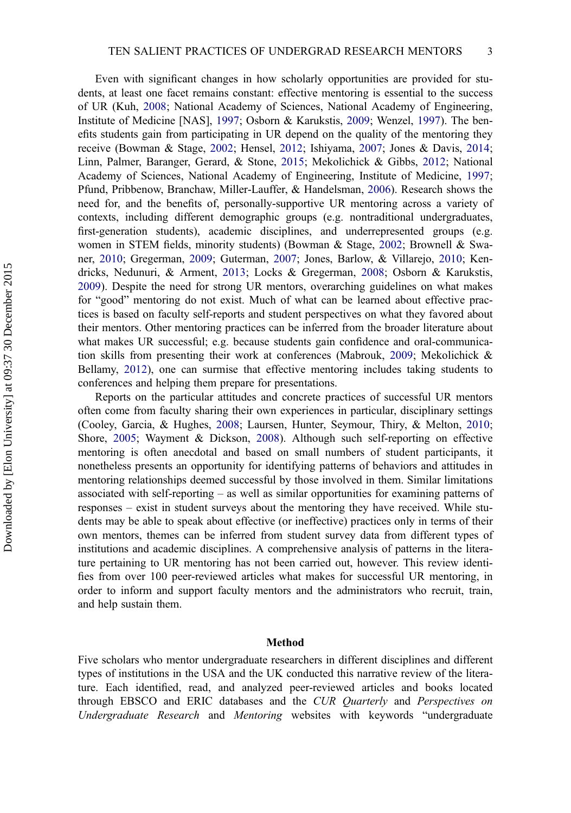Even with significant changes in how scholarly opportunities are provided for students, at least one facet remains constant: effective mentoring is essential to the success of UR (Kuh, [2008;](#page-16-0) National Academy of Sciences, National Academy of Engineering, Institute of Medicine [NAS], [1997;](#page-17-0) Osborn & Karukstis, [2009;](#page-17-0) Wenzel, [1997\)](#page-18-0). The benefits students gain from participating in UR depend on the quality of the mentoring they receive (Bowman & Stage, [2002;](#page-14-0) Hensel, [2012;](#page-15-0) Ishiyama, [2007](#page-16-0); Jones & Davis, [2014](#page-16-0); Linn, Palmer, Baranger, Gerard, & Stone, [2015](#page-16-0); Mekolichick & Gibbs, [2012](#page-17-0); National Academy of Sciences, National Academy of Engineering, Institute of Medicine, [1997](#page-17-0); Pfund, Pribbenow, Branchaw, Miller-Lauffer, & Handelsman, [2006\)](#page-17-0). Research shows the need for, and the benefits of, personally-supportive UR mentoring across a variety of contexts, including different demographic groups (e.g. nontraditional undergraduates, first-generation students), academic disciplines, and underrepresented groups (e.g. women in STEM fields, minority students) (Bowman & Stage, [2002;](#page-14-0) Brownell & Swaner, [2010](#page-14-0); Gregerman, [2009;](#page-15-0) Guterman, [2007](#page-15-0); Jones, Barlow, & Villarejo, [2010](#page-16-0); Kendricks, Nedunuri, & Arment, [2013](#page-16-0); Locks & Gregerman, [2008](#page-16-0); Osborn & Karukstis, [2009](#page-17-0)). Despite the need for strong UR mentors, overarching guidelines on what makes for "good" mentoring do not exist. Much of what can be learned about effective practices is based on faculty self-reports and student perspectives on what they favored about their mentors. Other mentoring practices can be inferred from the broader literature about what makes UR successful; e.g. because students gain confidence and oral-communication skills from presenting their work at conferences (Mabrouk, [2009;](#page-17-0) Mekolichick & Bellamy, [2012](#page-17-0)), one can surmise that effective mentoring includes taking students to conferences and helping them prepare for presentations.

Reports on the particular attitudes and concrete practices of successful UR mentors often come from faculty sharing their own experiences in particular, disciplinary settings (Cooley, Garcia, & Hughes, [2008;](#page-14-0) Laursen, Hunter, Seymour, Thiry, & Melton, [2010](#page-16-0); Shore, [2005;](#page-18-0) Wayment & Dickson, [2008\)](#page-18-0). Although such self-reporting on effective mentoring is often anecdotal and based on small numbers of student participants, it nonetheless presents an opportunity for identifying patterns of behaviors and attitudes in mentoring relationships deemed successful by those involved in them. Similar limitations associated with self-reporting – as well as similar opportunities for examining patterns of responses – exist in student surveys about the mentoring they have received. While students may be able to speak about effective (or ineffective) practices only in terms of their own mentors, themes can be inferred from student survey data from different types of institutions and academic disciplines. A comprehensive analysis of patterns in the literature pertaining to UR mentoring has not been carried out, however. This review identifies from over 100 peer-reviewed articles what makes for successful UR mentoring, in order to inform and support faculty mentors and the administrators who recruit, train, and help sustain them.

#### Method

Five scholars who mentor undergraduate researchers in different disciplines and different types of institutions in the USA and the UK conducted this narrative review of the literature. Each identified, read, and analyzed peer-reviewed articles and books located through EBSCO and ERIC databases and the CUR Quarterly and Perspectives on Undergraduate Research and Mentoring websites with keywords "undergraduate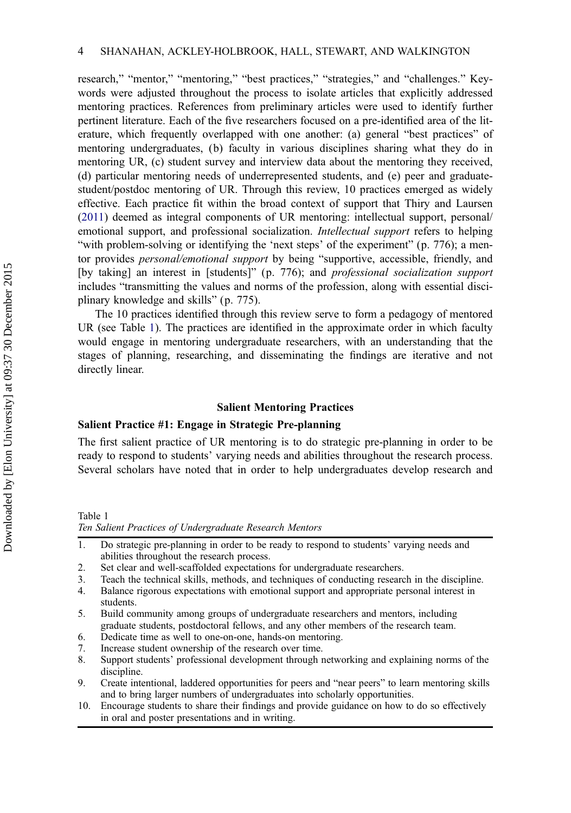research," "mentor," "mentoring," "best practices," "strategies," and "challenges." Keywords were adjusted throughout the process to isolate articles that explicitly addressed mentoring practices. References from preliminary articles were used to identify further pertinent literature. Each of the five researchers focused on a pre-identified area of the literature, which frequently overlapped with one another: (a) general "best practices" of mentoring undergraduates, (b) faculty in various disciplines sharing what they do in mentoring UR, (c) student survey and interview data about the mentoring they received, (d) particular mentoring needs of underrepresented students, and (e) peer and graduatestudent/postdoc mentoring of UR. Through this review, 10 practices emerged as widely effective. Each practice fit within the broad context of support that Thiry and Laursen ([2011](#page-18-0)) deemed as integral components of UR mentoring: intellectual support, personal/ emotional support, and professional socialization. *Intellectual support* refers to helping "with problem-solving or identifying the 'next steps' of the experiment" (p. 776); a mentor provides *personal/emotional support* by being "supportive, accessible, friendly, and [by taking] an interest in [students]" (p. 776); and professional socialization support includes "transmitting the values and norms of the profession, along with essential disciplinary knowledge and skills" (p. 775).

The 10 practices identified through this review serve to form a pedagogy of mentored UR (see Table 1). The practices are identified in the approximate order in which faculty would engage in mentoring undergraduate researchers, with an understanding that the stages of planning, researching, and disseminating the findings are iterative and not directly linear.

#### Salient Mentoring Practices

## Salient Practice #1: Engage in Strategic Pre-planning

The first salient practice of UR mentoring is to do strategic pre-planning in order to be ready to respond to students' varying needs and abilities throughout the research process. Several scholars have noted that in order to help undergraduates develop research and

Table 1

Ten Salient Practices of Undergraduate Research Mentors

- 1. Do strategic pre-planning in order to be ready to respond to students' varying needs and abilities throughout the research process.
- 2. Set clear and well-scaffolded expectations for undergraduate researchers.
- 3. Teach the technical skills, methods, and techniques of conducting research in the discipline.
- 4. Balance rigorous expectations with emotional support and appropriate personal interest in students.
- 5. Build community among groups of undergraduate researchers and mentors, including graduate students, postdoctoral fellows, and any other members of the research team.
- 6. Dedicate time as well to one-on-one, hands-on mentoring.
- 7. Increase student ownership of the research over time.
- 8. Support students' professional development through networking and explaining norms of the discipline.
- 9. Create intentional, laddered opportunities for peers and "near peers" to learn mentoring skills and to bring larger numbers of undergraduates into scholarly opportunities.
- 10. Encourage students to share their findings and provide guidance on how to do so effectively in oral and poster presentations and in writing.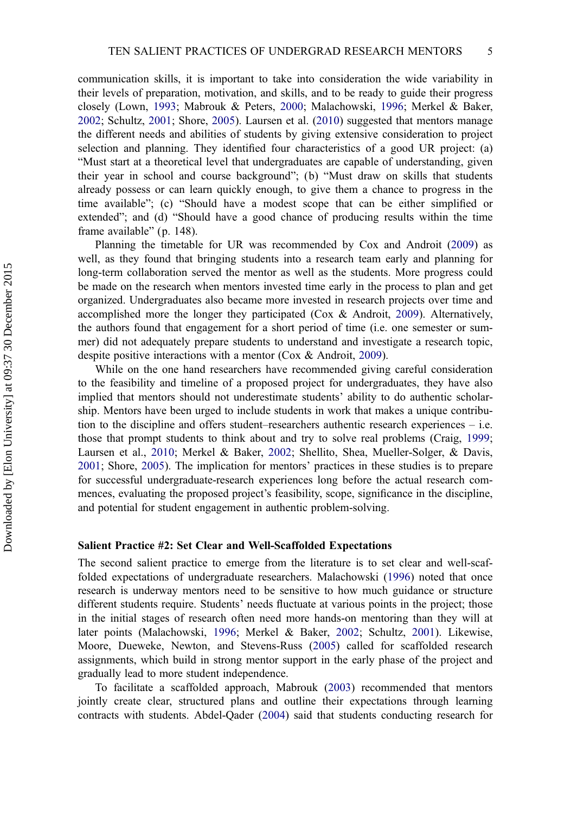communication skills, it is important to take into consideration the wide variability in their levels of preparation, motivation, and skills, and to be ready to guide their progress closely (Lown, [1993](#page-16-0); Mabrouk & Peters, [2000](#page-17-0); Malachowski, [1996;](#page-17-0) Merkel & Baker, [2002](#page-17-0); Schultz, [2001](#page-17-0); Shore, [2005](#page-18-0)). Laursen et al. [\(2010](#page-16-0)) suggested that mentors manage the different needs and abilities of students by giving extensive consideration to project selection and planning. They identified four characteristics of a good UR project: (a) "Must start at a theoretical level that undergraduates are capable of understanding, given their year in school and course background"; (b) "Must draw on skills that students already possess or can learn quickly enough, to give them a chance to progress in the time available"; (c) "Should have a modest scope that can be either simplified or extended"; and (d) "Should have a good chance of producing results within the time frame available" (p. 148).

Planning the timetable for UR was recommended by Cox and Androit ([2009\)](#page-14-0) as well, as they found that bringing students into a research team early and planning for long-term collaboration served the mentor as well as the students. More progress could be made on the research when mentors invested time early in the process to plan and get organized. Undergraduates also became more invested in research projects over time and accomplished more the longer they participated (Cox & Androit, [2009](#page-14-0)). Alternatively, the authors found that engagement for a short period of time (i.e. one semester or summer) did not adequately prepare students to understand and investigate a research topic, despite positive interactions with a mentor (Cox & Androit, [2009](#page-14-0)).

While on the one hand researchers have recommended giving careful consideration to the feasibility and timeline of a proposed project for undergraduates, they have also implied that mentors should not underestimate students' ability to do authentic scholarship. Mentors have been urged to include students in work that makes a unique contribution to the discipline and offers student–researchers authentic research experiences – i.e. those that prompt students to think about and try to solve real problems (Craig, [1999](#page-14-0); Laursen et al., [2010;](#page-16-0) Merkel & Baker, [2002;](#page-17-0) Shellito, Shea, Mueller-Solger, & Davis, [2001](#page-17-0); Shore, [2005](#page-18-0)). The implication for mentors' practices in these studies is to prepare for successful undergraduate-research experiences long before the actual research commences, evaluating the proposed project's feasibility, scope, significance in the discipline, and potential for student engagement in authentic problem-solving.

#### Salient Practice #2: Set Clear and Well-Scaffolded Expectations

The second salient practice to emerge from the literature is to set clear and well-scaffolded expectations of undergraduate researchers. Malachowski ([1996\)](#page-17-0) noted that once research is underway mentors need to be sensitive to how much guidance or structure different students require. Students' needs fluctuate at various points in the project; those in the initial stages of research often need more hands-on mentoring than they will at later points (Malachowski, [1996](#page-17-0); Merkel & Baker, [2002;](#page-17-0) Schultz, [2001](#page-17-0)). Likewise, Moore, Dueweke, Newton, and Stevens-Russ [\(2005](#page-17-0)) called for scaffolded research assignments, which build in strong mentor support in the early phase of the project and gradually lead to more student independence.

To facilitate a scaffolded approach, Mabrouk ([2003\)](#page-17-0) recommended that mentors jointly create clear, structured plans and outline their expectations through learning contracts with students. Abdel-Qader ([2004\)](#page-14-0) said that students conducting research for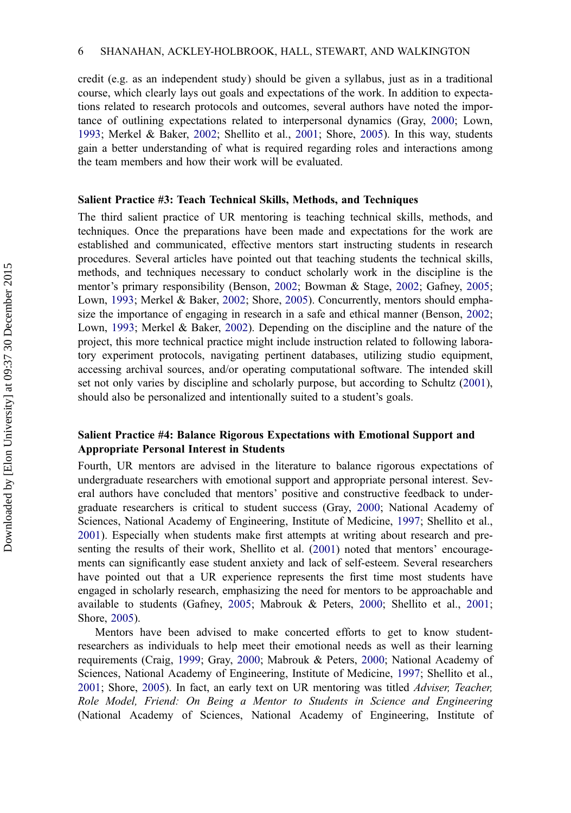credit (e.g. as an independent study) should be given a syllabus, just as in a traditional course, which clearly lays out goals and expectations of the work. In addition to expectations related to research protocols and outcomes, several authors have noted the importance of outlining expectations related to interpersonal dynamics (Gray, [2000;](#page-15-0) Lown, [1993](#page-16-0); Merkel & Baker, [2002](#page-17-0); Shellito et al., [2001](#page-17-0); Shore, [2005](#page-18-0)). In this way, students gain a better understanding of what is required regarding roles and interactions among the team members and how their work will be evaluated.

#### Salient Practice #3: Teach Technical Skills, Methods, and Techniques

The third salient practice of UR mentoring is teaching technical skills, methods, and techniques. Once the preparations have been made and expectations for the work are established and communicated, effective mentors start instructing students in research procedures. Several articles have pointed out that teaching students the technical skills, methods, and techniques necessary to conduct scholarly work in the discipline is the mentor's primary responsibility (Benson, [2002](#page-14-0); Bowman & Stage, [2002](#page-14-0); Gafney, [2005](#page-15-0); Lown, [1993;](#page-16-0) Merkel & Baker, [2002](#page-17-0); Shore, [2005](#page-18-0)). Concurrently, mentors should emphasize the importance of engaging in research in a safe and ethical manner (Benson, [2002](#page-14-0); Lown, [1993](#page-16-0); Merkel & Baker, [2002](#page-17-0)). Depending on the discipline and the nature of the project, this more technical practice might include instruction related to following laboratory experiment protocols, navigating pertinent databases, utilizing studio equipment, accessing archival sources, and/or operating computational software. The intended skill set not only varies by discipline and scholarly purpose, but according to Schultz [\(2001](#page-17-0)), should also be personalized and intentionally suited to a student's goals.

## Salient Practice #4: Balance Rigorous Expectations with Emotional Support and Appropriate Personal Interest in Students

Fourth, UR mentors are advised in the literature to balance rigorous expectations of undergraduate researchers with emotional support and appropriate personal interest. Several authors have concluded that mentors' positive and constructive feedback to undergraduate researchers is critical to student success (Gray, [2000;](#page-15-0) National Academy of Sciences, National Academy of Engineering, Institute of Medicine, [1997](#page-17-0); Shellito et al., [2001](#page-17-0)). Especially when students make first attempts at writing about research and presenting the results of their work, Shellito et al. [\(2001](#page-17-0)) noted that mentors' encouragements can significantly ease student anxiety and lack of self-esteem. Several researchers have pointed out that a UR experience represents the first time most students have engaged in scholarly research, emphasizing the need for mentors to be approachable and available to students (Gafney, [2005](#page-15-0); Mabrouk & Peters, [2000;](#page-17-0) Shellito et al., [2001](#page-17-0); Shore, [2005\)](#page-18-0).

Mentors have been advised to make concerted efforts to get to know studentresearchers as individuals to help meet their emotional needs as well as their learning requirements (Craig, [1999](#page-14-0); Gray, [2000;](#page-15-0) Mabrouk & Peters, [2000](#page-17-0); National Academy of Sciences, National Academy of Engineering, Institute of Medicine, [1997](#page-17-0); Shellito et al., [2001](#page-17-0); Shore, [2005\)](#page-18-0). In fact, an early text on UR mentoring was titled *Adviser, Teacher*, Role Model, Friend: On Being a Mentor to Students in Science and Engineering (National Academy of Sciences, National Academy of Engineering, Institute of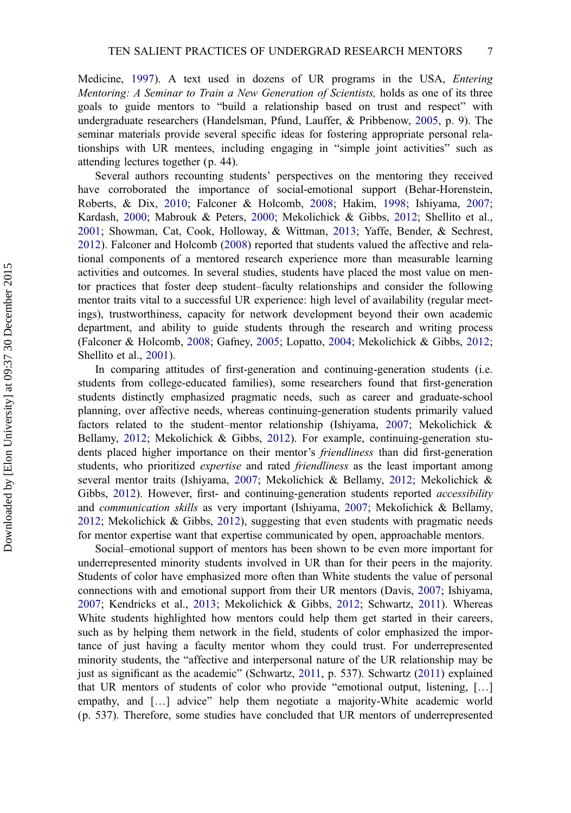Medicine, [1997](#page-17-0)). A text used in dozens of UR programs in the USA, Entering Mentoring: A Seminar to Train a New Generation of Scientists, holds as one of its three goals to guide mentors to "build a relationship based on trust and respect" with undergraduate researchers (Handelsman, Pfund, Lauffer, & Pribbenow, [2005,](#page-15-0) p. 9). The seminar materials provide several specific ideas for fostering appropriate personal relationships with UR mentees, including engaging in "simple joint activities" such as attending lectures together (p. 44).

Several authors recounting students' perspectives on the mentoring they received have corroborated the importance of social-emotional support (Behar-Horenstein, Roberts, & Dix, [2010;](#page-14-0) Falconer & Holcomb, [2008;](#page-15-0) Hakim, [1998;](#page-15-0) Ishiyama, [2007](#page-16-0); Kardash, [2000;](#page-16-0) Mabrouk & Peters, [2000](#page-17-0); Mekolichick & Gibbs, [2012;](#page-17-0) Shellito et al., [2001](#page-17-0); Showman, Cat, Cook, Holloway, & Wittman, [2013;](#page-18-0) Yaffe, Bender, & Sechrest, [2012](#page-18-0)). Falconer and Holcomb ([2008\)](#page-15-0) reported that students valued the affective and relational components of a mentored research experience more than measurable learning activities and outcomes. In several studies, students have placed the most value on mentor practices that foster deep student–faculty relationships and consider the following mentor traits vital to a successful UR experience: high level of availability (regular meetings), trustworthiness, capacity for network development beyond their own academic department, and ability to guide students through the research and writing process (Falconer & Holcomb, [2008;](#page-15-0) Gafney, [2005;](#page-15-0) Lopatto, [2004;](#page-16-0) Mekolichick & Gibbs, [2012](#page-17-0); Shellito et al., [2001](#page-17-0)).

In comparing attitudes of first-generation and continuing-generation students (i.e. students from college-educated families), some researchers found that first-generation students distinctly emphasized pragmatic needs, such as career and graduate-school planning, over affective needs, whereas continuing-generation students primarily valued factors related to the student–mentor relationship (Ishiyama, [2007](#page-16-0); Mekolichick & Bellamy, [2012;](#page-17-0) Mekolichick & Gibbs, [2012\)](#page-17-0). For example, continuing-generation students placed higher importance on their mentor's *friendliness* than did first-generation students, who prioritized *expertise* and rated *friendliness* as the least important among several mentor traits (Ishiyama, [2007;](#page-16-0) Mekolichick & Bellamy, [2012](#page-17-0); Mekolichick & Gibbs, [2012\)](#page-17-0). However, first- and continuing-generation students reported *accessibility* and communication skills as very important (Ishiyama, [2007;](#page-16-0) Mekolichick & Bellamy, [2012](#page-17-0); Mekolichick & Gibbs, [2012\)](#page-17-0), suggesting that even students with pragmatic needs for mentor expertise want that expertise communicated by open, approachable mentors.

Social–emotional support of mentors has been shown to be even more important for underrepresented minority students involved in UR than for their peers in the majority. Students of color have emphasized more often than White students the value of personal connections with and emotional support from their UR mentors (Davis, [2007](#page-15-0); Ishiyama, [2007](#page-16-0); Kendricks et al., [2013](#page-16-0); Mekolichick & Gibbs, [2012](#page-17-0); Schwartz, [2011](#page-17-0)). Whereas White students highlighted how mentors could help them get started in their careers, such as by helping them network in the field, students of color emphasized the importance of just having a faculty mentor whom they could trust. For underrepresented minority students, the "affective and interpersonal nature of the UR relationship may be just as significant as the academic" (Schwartz, [2011,](#page-17-0) p. 537). Schwartz [\(2011\)](#page-17-0) explained that UR mentors of students of color who provide "emotional output, listening, […] empathy, and […] advice" help them negotiate a majority-White academic world (p. 537). Therefore, some studies have concluded that UR mentors of underrepresented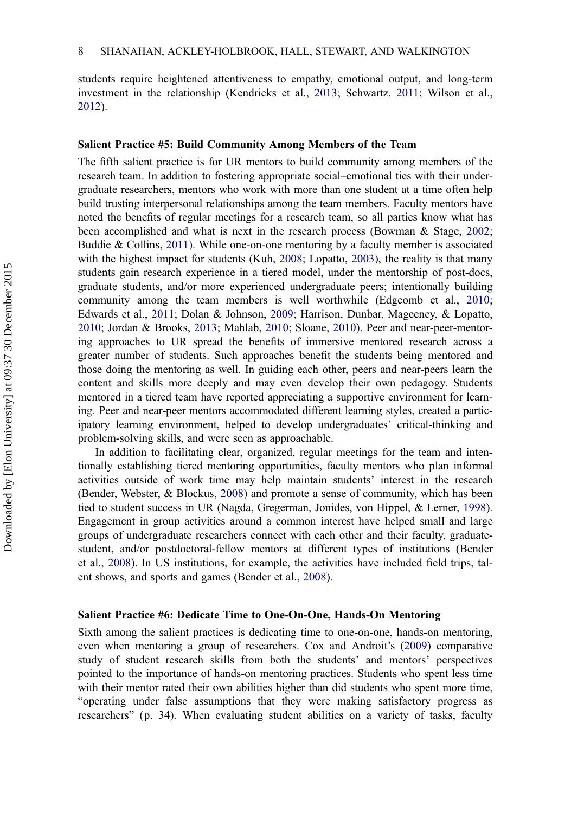students require heightened attentiveness to empathy, emotional output, and long-term investment in the relationship (Kendricks et al., [2013;](#page-16-0) Schwartz, [2011](#page-17-0); Wilson et al., [2012](#page-18-0)).

### Salient Practice #5: Build Community Among Members of the Team

The fifth salient practice is for UR mentors to build community among members of the research team. In addition to fostering appropriate social–emotional ties with their undergraduate researchers, mentors who work with more than one student at a time often help build trusting interpersonal relationships among the team members. Faculty mentors have noted the benefits of regular meetings for a research team, so all parties know what has been accomplished and what is next in the research process (Bowman & Stage, [2002](#page-14-0); Buddie  $&$  Collins, [2011](#page-14-0)). While one-on-one mentoring by a faculty member is associated with the highest impact for students (Kuh, [2008](#page-16-0); Lopatto, [2003\)](#page-16-0), the reality is that many students gain research experience in a tiered model, under the mentorship of post-docs, graduate students, and/or more experienced undergraduate peers; intentionally building community among the team members is well worthwhile (Edgcomb et al., [2010](#page-15-0); Edwards et al., [2011;](#page-15-0) Dolan & Johnson, [2009;](#page-15-0) Harrison, Dunbar, Mageeney, & Lopatto, [2010](#page-15-0); Jordan & Brooks, [2013;](#page-16-0) Mahlab, [2010](#page-17-0); Sloane, [2010\)](#page-18-0). Peer and near-peer-mentoring approaches to UR spread the benefits of immersive mentored research across a greater number of students. Such approaches benefit the students being mentored and those doing the mentoring as well. In guiding each other, peers and near-peers learn the content and skills more deeply and may even develop their own pedagogy. Students mentored in a tiered team have reported appreciating a supportive environment for learning. Peer and near-peer mentors accommodated different learning styles, created a participatory learning environment, helped to develop undergraduates' critical-thinking and problem-solving skills, and were seen as approachable.

In addition to facilitating clear, organized, regular meetings for the team and intentionally establishing tiered mentoring opportunities, faculty mentors who plan informal activities outside of work time may help maintain students' interest in the research (Bender, Webster, & Blockus, [2008\)](#page-14-0) and promote a sense of community, which has been tied to student success in UR (Nagda, Gregerman, Jonides, von Hippel, & Lerner, [1998](#page-17-0)). Engagement in group activities around a common interest have helped small and large groups of undergraduate researchers connect with each other and their faculty, graduatestudent, and/or postdoctoral-fellow mentors at different types of institutions (Bender et al., [2008](#page-14-0)). In US institutions, for example, the activities have included field trips, talent shows, and sports and games (Bender et al., [2008](#page-14-0)).

#### Salient Practice #6: Dedicate Time to One-On-One, Hands-On Mentoring

Sixth among the salient practices is dedicating time to one-on-one, hands-on mentoring, even when mentoring a group of researchers. Cox and Androit's [\(2009](#page-14-0)) comparative study of student research skills from both the students' and mentors' perspectives pointed to the importance of hands-on mentoring practices. Students who spent less time with their mentor rated their own abilities higher than did students who spent more time, "operating under false assumptions that they were making satisfactory progress as researchers" (p. 34). When evaluating student abilities on a variety of tasks, faculty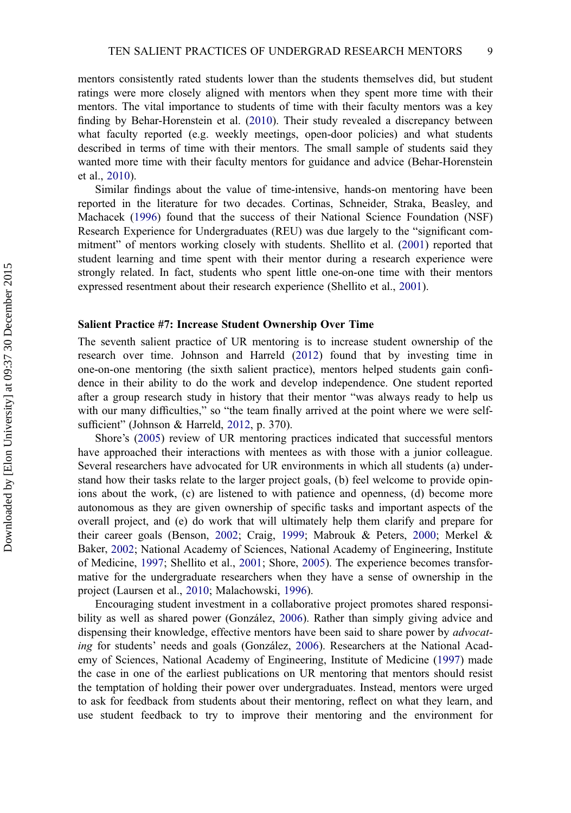mentors consistently rated students lower than the students themselves did, but student ratings were more closely aligned with mentors when they spent more time with their mentors. The vital importance to students of time with their faculty mentors was a key finding by Behar-Horenstein et al. [\(2010](#page-14-0)). Their study revealed a discrepancy between what faculty reported (e.g. weekly meetings, open-door policies) and what students described in terms of time with their mentors. The small sample of students said they wanted more time with their faculty mentors for guidance and advice (Behar-Horenstein et al., [2010](#page-14-0)).

Similar findings about the value of time-intensive, hands-on mentoring have been reported in the literature for two decades. Cortinas, Schneider, Straka, Beasley, and Machacek ([1996\)](#page-14-0) found that the success of their National Science Foundation (NSF) Research Experience for Undergraduates (REU) was due largely to the "significant commitment" of mentors working closely with students. Shellito et al. [\(2001](#page-17-0)) reported that student learning and time spent with their mentor during a research experience were strongly related. In fact, students who spent little one-on-one time with their mentors expressed resentment about their research experience (Shellito et al., [2001\)](#page-17-0).

#### Salient Practice #7: Increase Student Ownership Over Time

The seventh salient practice of UR mentoring is to increase student ownership of the research over time. Johnson and Harreld ([2012\)](#page-16-0) found that by investing time in one-on-one mentoring (the sixth salient practice), mentors helped students gain confidence in their ability to do the work and develop independence. One student reported after a group research study in history that their mentor "was always ready to help us with our many difficulties," so "the team finally arrived at the point where we were selfsufficient" (Johnson & Harreld, [2012](#page-16-0), p. 370).

Shore's [\(2005](#page-18-0)) review of UR mentoring practices indicated that successful mentors have approached their interactions with mentees as with those with a junior colleague. Several researchers have advocated for UR environments in which all students (a) understand how their tasks relate to the larger project goals, (b) feel welcome to provide opinions about the work, (c) are listened to with patience and openness, (d) become more autonomous as they are given ownership of specific tasks and important aspects of the overall project, and (e) do work that will ultimately help them clarify and prepare for their career goals (Benson, [2002;](#page-14-0) Craig, [1999](#page-14-0); Mabrouk & Peters, [2000;](#page-17-0) Merkel & Baker, [2002;](#page-17-0) National Academy of Sciences, National Academy of Engineering, Institute of Medicine, [1997;](#page-17-0) Shellito et al., [2001;](#page-17-0) Shore, [2005](#page-18-0)). The experience becomes transformative for the undergraduate researchers when they have a sense of ownership in the project (Laursen et al., [2010;](#page-16-0) Malachowski, [1996](#page-17-0)).

Encouraging student investment in a collaborative project promotes shared responsibility as well as shared power (González, [2006\)](#page-15-0). Rather than simply giving advice and dispensing their knowledge, effective mentors have been said to share power by *advocat*ing for students' needs and goals (González, [2006\)](#page-15-0). Researchers at the National Academy of Sciences, National Academy of Engineering, Institute of Medicine ([1997\)](#page-17-0) made the case in one of the earliest publications on UR mentoring that mentors should resist the temptation of holding their power over undergraduates. Instead, mentors were urged to ask for feedback from students about their mentoring, reflect on what they learn, and use student feedback to try to improve their mentoring and the environment for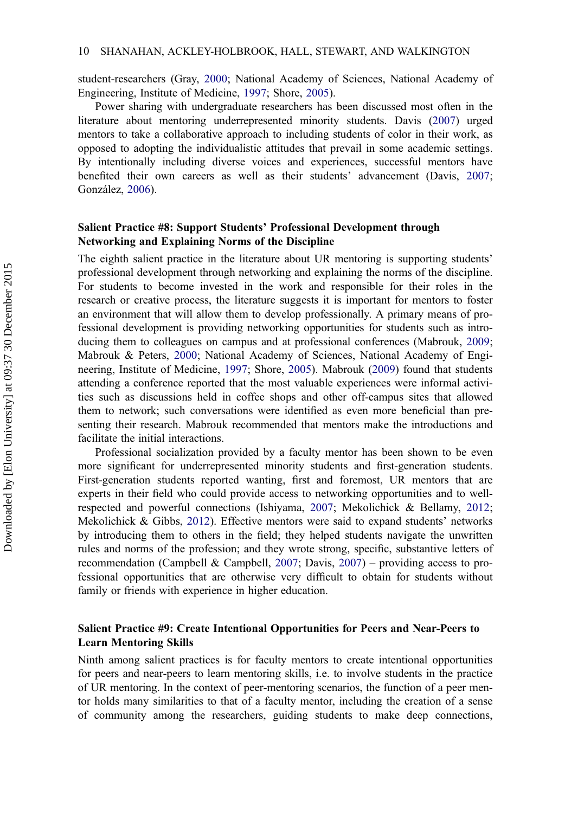student-researchers (Gray, [2000](#page-15-0); National Academy of Sciences, National Academy of Engineering, Institute of Medicine, [1997](#page-17-0); Shore, [2005\)](#page-18-0).

Power sharing with undergraduate researchers has been discussed most often in the literature about mentoring underrepresented minority students. Davis ([2007\)](#page-15-0) urged mentors to take a collaborative approach to including students of color in their work, as opposed to adopting the individualistic attitudes that prevail in some academic settings. By intentionally including diverse voices and experiences, successful mentors have benefited their own careers as well as their students' advancement (Davis, [2007](#page-15-0); González, [2006](#page-15-0)).

## Salient Practice #8: Support Students' Professional Development through Networking and Explaining Norms of the Discipline

The eighth salient practice in the literature about UR mentoring is supporting students' professional development through networking and explaining the norms of the discipline. For students to become invested in the work and responsible for their roles in the research or creative process, the literature suggests it is important for mentors to foster an environment that will allow them to develop professionally. A primary means of professional development is providing networking opportunities for students such as introducing them to colleagues on campus and at professional conferences (Mabrouk, [2009](#page-17-0); Mabrouk & Peters, [2000](#page-17-0); National Academy of Sciences, National Academy of Engineering, Institute of Medicine, [1997;](#page-17-0) Shore, [2005](#page-18-0)). Mabrouk ([2009\)](#page-17-0) found that students attending a conference reported that the most valuable experiences were informal activities such as discussions held in coffee shops and other off-campus sites that allowed them to network; such conversations were identified as even more beneficial than presenting their research. Mabrouk recommended that mentors make the introductions and facilitate the initial interactions.

Professional socialization provided by a faculty mentor has been shown to be even more significant for underrepresented minority students and first-generation students. First-generation students reported wanting, first and foremost, UR mentors that are experts in their field who could provide access to networking opportunities and to wellrespected and powerful connections (Ishiyama, [2007](#page-16-0); Mekolichick & Bellamy, [2012](#page-17-0); Mekolichick & Gibbs, [2012\)](#page-17-0). Effective mentors were said to expand students' networks by introducing them to others in the field; they helped students navigate the unwritten rules and norms of the profession; and they wrote strong, specific, substantive letters of recommendation (Campbell & Campbell, [2007;](#page-14-0) Davis, [2007\)](#page-15-0) – providing access to professional opportunities that are otherwise very difficult to obtain for students without family or friends with experience in higher education.

## Salient Practice #9: Create Intentional Opportunities for Peers and Near-Peers to Learn Mentoring Skills

Ninth among salient practices is for faculty mentors to create intentional opportunities for peers and near-peers to learn mentoring skills, i.e. to involve students in the practice of UR mentoring. In the context of peer-mentoring scenarios, the function of a peer mentor holds many similarities to that of a faculty mentor, including the creation of a sense of community among the researchers, guiding students to make deep connections,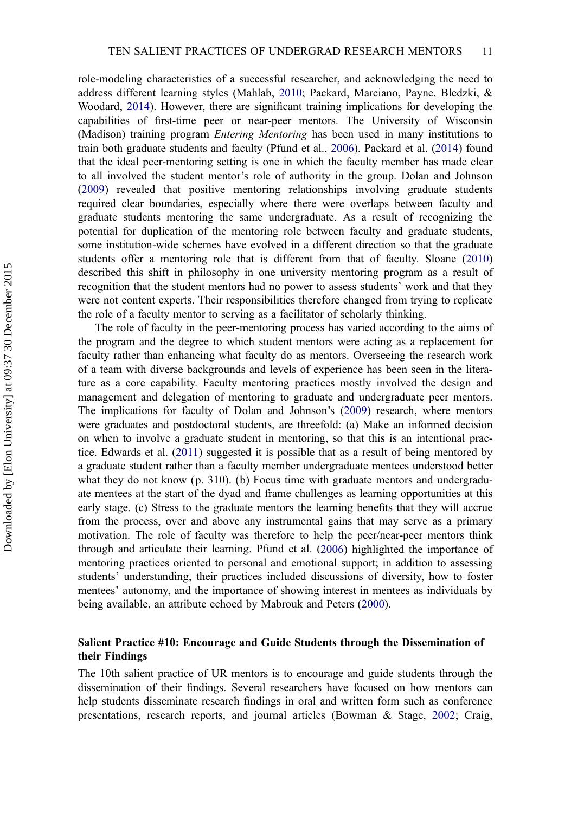role-modeling characteristics of a successful researcher, and acknowledging the need to address different learning styles (Mahlab, [2010](#page-17-0); Packard, Marciano, Payne, Bledzki, & Woodard, [2014\)](#page-17-0). However, there are significant training implications for developing the capabilities of first-time peer or near-peer mentors. The University of Wisconsin (Madison) training program Entering Mentoring has been used in many institutions to train both graduate students and faculty (Pfund et al., [2006](#page-17-0)). Packard et al. [\(2014](#page-17-0)) found that the ideal peer-mentoring setting is one in which the faculty member has made clear to all involved the student mentor's role of authority in the group. Dolan and Johnson ([2009](#page-15-0)) revealed that positive mentoring relationships involving graduate students required clear boundaries, especially where there were overlaps between faculty and graduate students mentoring the same undergraduate. As a result of recognizing the potential for duplication of the mentoring role between faculty and graduate students, some institution-wide schemes have evolved in a different direction so that the graduate students offer a mentoring role that is different from that of faculty. Sloane ([2010\)](#page-18-0) described this shift in philosophy in one university mentoring program as a result of recognition that the student mentors had no power to assess students' work and that they were not content experts. Their responsibilities therefore changed from trying to replicate the role of a faculty mentor to serving as a facilitator of scholarly thinking.

The role of faculty in the peer-mentoring process has varied according to the aims of the program and the degree to which student mentors were acting as a replacement for faculty rather than enhancing what faculty do as mentors. Overseeing the research work of a team with diverse backgrounds and levels of experience has been seen in the literature as a core capability. Faculty mentoring practices mostly involved the design and management and delegation of mentoring to graduate and undergraduate peer mentors. The implications for faculty of Dolan and Johnson's [\(2009](#page-15-0)) research, where mentors were graduates and postdoctoral students, are threefold: (a) Make an informed decision on when to involve a graduate student in mentoring, so that this is an intentional practice. Edwards et al. ([2011\)](#page-15-0) suggested it is possible that as a result of being mentored by a graduate student rather than a faculty member undergraduate mentees understood better what they do not know (p. 310). (b) Focus time with graduate mentors and undergraduate mentees at the start of the dyad and frame challenges as learning opportunities at this early stage. (c) Stress to the graduate mentors the learning benefits that they will accrue from the process, over and above any instrumental gains that may serve as a primary motivation. The role of faculty was therefore to help the peer/near-peer mentors think through and articulate their learning. Pfund et al. [\(2006](#page-17-0)) highlighted the importance of mentoring practices oriented to personal and emotional support; in addition to assessing students' understanding, their practices included discussions of diversity, how to foster mentees' autonomy, and the importance of showing interest in mentees as individuals by being available, an attribute echoed by Mabrouk and Peters [\(2000](#page-17-0)).

## Salient Practice #10: Encourage and Guide Students through the Dissemination of their Findings

The 10th salient practice of UR mentors is to encourage and guide students through the dissemination of their findings. Several researchers have focused on how mentors can help students disseminate research findings in oral and written form such as conference presentations, research reports, and journal articles (Bowman & Stage, [2002;](#page-14-0) Craig,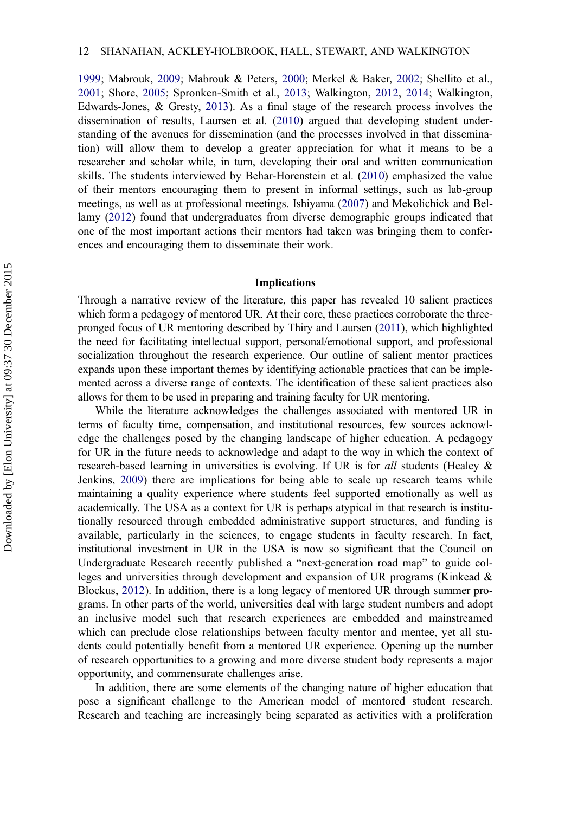[1999](#page-14-0); Mabrouk, [2009](#page-17-0); Mabrouk & Peters, [2000;](#page-17-0) Merkel & Baker, [2002;](#page-17-0) Shellito et al., [2001](#page-17-0); Shore, [2005](#page-18-0); Spronken-Smith et al., [2013](#page-18-0); Walkington, [2012](#page-18-0), [2014;](#page-14-0) Walkington, Edwards-Jones, & Gresty, [2013\)](#page-18-0). As a final stage of the research process involves the dissemination of results, Laursen et al. ([2010\)](#page-16-0) argued that developing student understanding of the avenues for dissemination (and the processes involved in that dissemination) will allow them to develop a greater appreciation for what it means to be a researcher and scholar while, in turn, developing their oral and written communication skills. The students interviewed by Behar-Horenstein et al. [\(2010](#page-14-0)) emphasized the value of their mentors encouraging them to present in informal settings, such as lab-group meetings, as well as at professional meetings. Ishiyama [\(2007](#page-16-0)) and Mekolichick and Bellamy ([2012\)](#page-17-0) found that undergraduates from diverse demographic groups indicated that one of the most important actions their mentors had taken was bringing them to conferences and encouraging them to disseminate their work.

#### Implications

Through a narrative review of the literature, this paper has revealed 10 salient practices which form a pedagogy of mentored UR. At their core, these practices corroborate the threepronged focus of UR mentoring described by Thiry and Laursen [\(2011\)](#page-18-0), which highlighted the need for facilitating intellectual support, personal/emotional support, and professional socialization throughout the research experience. Our outline of salient mentor practices expands upon these important themes by identifying actionable practices that can be implemented across a diverse range of contexts. The identification of these salient practices also allows for them to be used in preparing and training faculty for UR mentoring.

While the literature acknowledges the challenges associated with mentored UR in terms of faculty time, compensation, and institutional resources, few sources acknowledge the challenges posed by the changing landscape of higher education. A pedagogy for UR in the future needs to acknowledge and adapt to the way in which the context of research-based learning in universities is evolving. If UR is for all students (Healey & Jenkins, [2009\)](#page-15-0) there are implications for being able to scale up research teams while maintaining a quality experience where students feel supported emotionally as well as academically. The USA as a context for UR is perhaps atypical in that research is institutionally resourced through embedded administrative support structures, and funding is available, particularly in the sciences, to engage students in faculty research. In fact, institutional investment in UR in the USA is now so significant that the Council on Undergraduate Research recently published a "next-generation road map" to guide colleges and universities through development and expansion of UR programs (Kinkead & Blockus, [2012](#page-16-0)). In addition, there is a long legacy of mentored UR through summer programs. In other parts of the world, universities deal with large student numbers and adopt an inclusive model such that research experiences are embedded and mainstreamed which can preclude close relationships between faculty mentor and mentee, yet all students could potentially benefit from a mentored UR experience. Opening up the number of research opportunities to a growing and more diverse student body represents a major opportunity, and commensurate challenges arise.

In addition, there are some elements of the changing nature of higher education that pose a significant challenge to the American model of mentored student research. Research and teaching are increasingly being separated as activities with a proliferation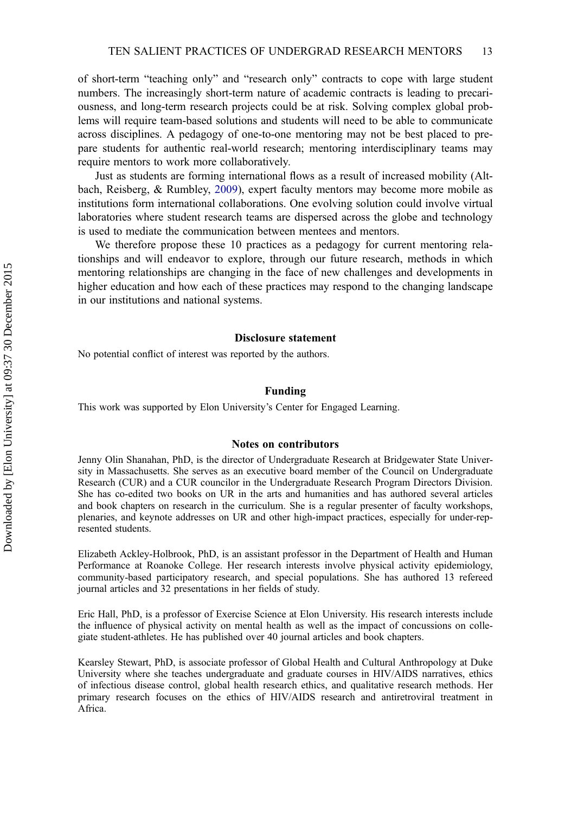of short-term "teaching only" and "research only" contracts to cope with large student numbers. The increasingly short-term nature of academic contracts is leading to precariousness, and long-term research projects could be at risk. Solving complex global problems will require team-based solutions and students will need to be able to communicate across disciplines. A pedagogy of one-to-one mentoring may not be best placed to prepare students for authentic real-world research; mentoring interdisciplinary teams may require mentors to work more collaboratively.

Just as students are forming international flows as a result of increased mobility (Altbach, Reisberg, & Rumbley, [2009\)](#page-14-0), expert faculty mentors may become more mobile as institutions form international collaborations. One evolving solution could involve virtual laboratories where student research teams are dispersed across the globe and technology is used to mediate the communication between mentees and mentors.

We therefore propose these 10 practices as a pedagogy for current mentoring relationships and will endeavor to explore, through our future research, methods in which mentoring relationships are changing in the face of new challenges and developments in higher education and how each of these practices may respond to the changing landscape in our institutions and national systems.

#### Disclosure statement

No potential conflict of interest was reported by the authors.

#### Funding

This work was supported by Elon University's Center for Engaged Learning.

#### Notes on contributors

Jenny Olin Shanahan, PhD, is the director of Undergraduate Research at Bridgewater State University in Massachusetts. She serves as an executive board member of the Council on Undergraduate Research (CUR) and a CUR councilor in the Undergraduate Research Program Directors Division. She has co-edited two books on UR in the arts and humanities and has authored several articles and book chapters on research in the curriculum. She is a regular presenter of faculty workshops, plenaries, and keynote addresses on UR and other high-impact practices, especially for under-represented students.

Elizabeth Ackley-Holbrook, PhD, is an assistant professor in the Department of Health and Human Performance at Roanoke College. Her research interests involve physical activity epidemiology, community-based participatory research, and special populations. She has authored 13 refereed journal articles and 32 presentations in her fields of study.

Eric Hall, PhD, is a professor of Exercise Science at Elon University. His research interests include the influence of physical activity on mental health as well as the impact of concussions on collegiate student-athletes. He has published over 40 journal articles and book chapters.

Kearsley Stewart, PhD, is associate professor of Global Health and Cultural Anthropology at Duke University where she teaches undergraduate and graduate courses in HIV/AIDS narratives, ethics of infectious disease control, global health research ethics, and qualitative research methods. Her primary research focuses on the ethics of HIV/AIDS research and antiretroviral treatment in Africa.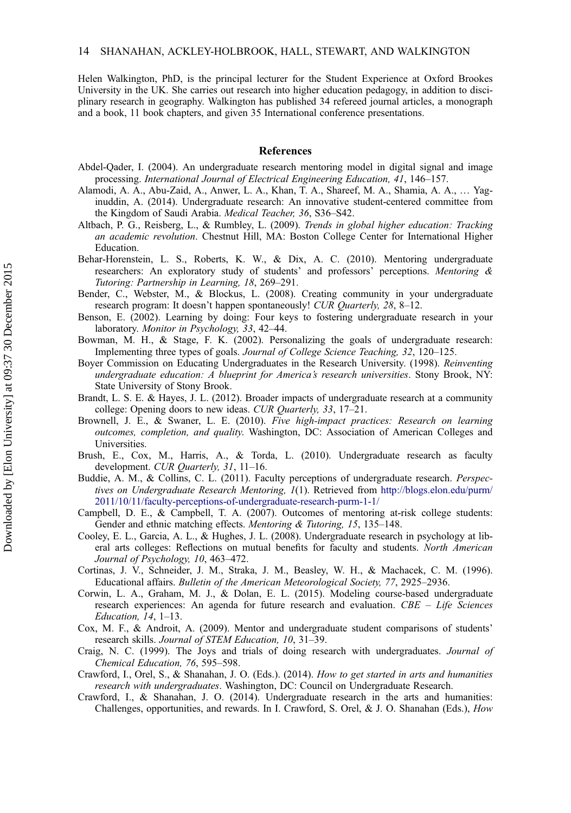<span id="page-14-0"></span>Helen Walkington, PhD, is the principal lecturer for the Student Experience at Oxford Brookes University in the UK. She carries out research into higher education pedagogy, in addition to disciplinary research in geography. Walkington has published 34 refereed journal articles, a monograph and a book, 11 book chapters, and given 35 International conference presentations.

#### References

- Abdel-Qader, I. (2004). An undergraduate research mentoring model in digital signal and image processing. International Journal of Electrical Engineering Education, 41, 146–157.
- Alamodi, A. A., Abu-Zaid, A., Anwer, L. A., Khan, T. A., Shareef, M. A., Shamia, A. A., … Yaginuddin, A. (2014). Undergraduate research: An innovative student-centered committee from the Kingdom of Saudi Arabia. Medical Teacher, 36, S36–S42.
- Altbach, P. G., Reisberg, L., & Rumbley, L. (2009). Trends in global higher education: Tracking an academic revolution. Chestnut Hill, MA: Boston College Center for International Higher Education.
- Behar-Horenstein, L. S., Roberts, K. W., & Dix, A. C. (2010). Mentoring undergraduate researchers: An exploratory study of students' and professors' perceptions. Mentoring & Tutoring: Partnership in Learning, 18, 269–291.
- Bender, C., Webster, M., & Blockus, L. (2008). Creating community in your undergraduate research program: It doesn't happen spontaneously! CUR Quarterly, 28, 8-12.
- Benson, E. (2002). Learning by doing: Four keys to fostering undergraduate research in your laboratory. Monitor in Psychology, 33, 42–44.
- Bowman, M. H., & Stage, F. K. (2002). Personalizing the goals of undergraduate research: Implementing three types of goals. Journal of College Science Teaching, 32, 120–125.
- Boyer Commission on Educating Undergraduates in the Research University. (1998). Reinventing undergraduate education: A blueprint for America's research universities. Stony Brook, NY: State University of Stony Brook.
- Brandt, L. S. E. & Hayes, J. L. (2012). Broader impacts of undergraduate research at a community college: Opening doors to new ideas. CUR Quarterly, 33, 17–21.
- Brownell, J. E., & Swaner, L. E. (2010). Five high-impact practices: Research on learning outcomes, completion, and quality. Washington, DC: Association of American Colleges and Universities.
- Brush, E., Cox, M., Harris, A., & Torda, L. (2010). Undergraduate research as faculty development. CUR Quarterly, 31, 11-16.
- Buddie, A. M., & Collins, C. L. (2011). Faculty perceptions of undergraduate research. Perspectives on Undergraduate Research Mentoring, 1(1). Retrieved from [http://blogs.elon.edu/purm/](http://blogs.elon.edu/purm/2011/10/11/faculty-perceptions-of-undergraduate-research-purm-1-1/) [2011/10/11/faculty-perceptions-of-undergraduate-research-purm-1-1/](http://blogs.elon.edu/purm/2011/10/11/faculty-perceptions-of-undergraduate-research-purm-1-1/)
- Campbell, D. E., & Campbell, T. A. (2007). Outcomes of mentoring at-risk college students: Gender and ethnic matching effects. Mentoring & Tutoring, 15, 135–148.
- Cooley, E. L., Garcia, A. L., & Hughes, J. L. (2008). Undergraduate research in psychology at liberal arts colleges: Reflections on mutual benefits for faculty and students. North American Journal of Psychology, 10, 463–472.
- Cortinas, J. V., Schneider, J. M., Straka, J. M., Beasley, W. H., & Machacek, C. M. (1996). Educational affairs. Bulletin of the American Meteorological Society, 77, 2925–2936.
- Corwin, L. A., Graham, M. J., & Dolan, E. L. (2015). Modeling course-based undergraduate research experiences: An agenda for future research and evaluation.  $CBE - Life$  Sciences Education, 14, 1–13.
- Cox, M. F., & Androit, A. (2009). Mentor and undergraduate student comparisons of students' research skills. Journal of STEM Education, 10, 31–39.
- Craig, N. C. (1999). The Joys and trials of doing research with undergraduates. Journal of Chemical Education, 76, 595–598.
- Crawford, I., Orel, S., & Shanahan, J. O. (Eds.). (2014). How to get started in arts and humanities research with undergraduates. Washington, DC: Council on Undergraduate Research.
- Crawford, I., & Shanahan, J. O. (2014). Undergraduate research in the arts and humanities: Challenges, opportunities, and rewards. In I. Crawford, S. Orel, & J. O. Shanahan (Eds.), How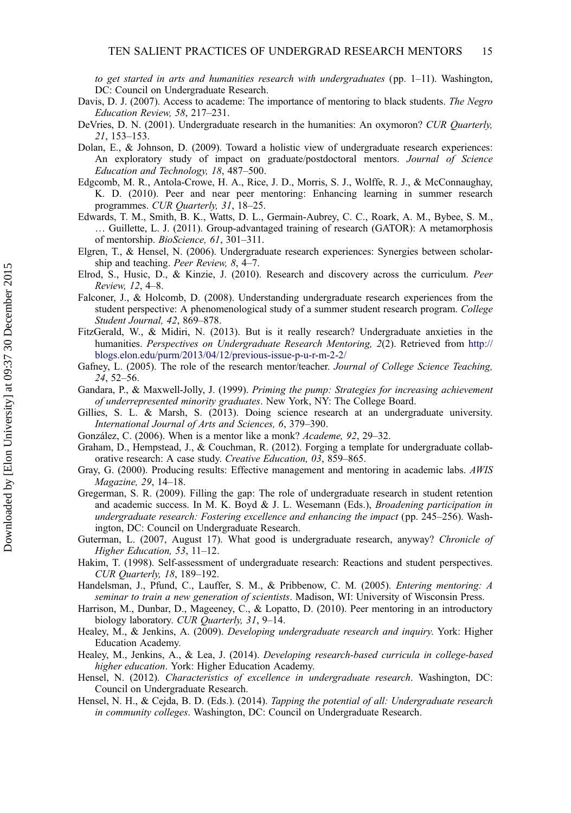<span id="page-15-0"></span>to get started in arts and humanities research with undergraduates (pp.  $1-11$ ). Washington, DC: Council on Undergraduate Research.

- Davis, D. J. (2007). Access to academe: The importance of mentoring to black students. The Negro Education Review, 58, 217–231.
- DeVries, D. N. (2001). Undergraduate research in the humanities: An oxymoron? CUR Quarterly, 21, 153–153.
- Dolan, E., & Johnson, D. (2009). Toward a holistic view of undergraduate research experiences: An exploratory study of impact on graduate/postdoctoral mentors. Journal of Science Education and Technology, 18, 487–500.
- Edgcomb, M. R., Antola-Crowe, H. A., Rice, J. D., Morris, S. J., Wolffe, R. J., & McConnaughay, K. D. (2010). Peer and near peer mentoring: Enhancing learning in summer research programmes. CUR Quarterly, 31, 18–25.
- Edwards, T. M., Smith, B. K., Watts, D. L., Germain-Aubrey, C. C., Roark, A. M., Bybee, S. M., … Guillette, L. J. (2011). Group-advantaged training of research (GATOR): A metamorphosis of mentorship. BioScience, 61, 301-311.
- Elgren, T., & Hensel, N. (2006). Undergraduate research experiences: Synergies between scholarship and teaching. Peer Review, 8, 4–7.
- Elrod, S., Husic, D., & Kinzie, J. (2010). Research and discovery across the curriculum. Peer Review, 12, 4–8.
- Falconer, J., & Holcomb, D. (2008). Understanding undergraduate research experiences from the student perspective: A phenomenological study of a summer student research program. College Student Journal, 42, 869–878.
- FitzGerald, W., & Midiri, N. (2013). But is it really research? Undergraduate anxieties in the humanities. *Perspectives on Undergraduate Research Mentoring*, 2(2). Retrieved from [http://](http://blogs.elon.edu/purm/2013/04/12/previous-issue-p-u-r-m-2-2/) [blogs.elon.edu/purm/2013/04/12/previous-issue-p-u-r-m-2-2/](http://blogs.elon.edu/purm/2013/04/12/previous-issue-p-u-r-m-2-2/)
- Gafney, L. (2005). The role of the research mentor/teacher. Journal of College Science Teaching, 24, 52–56.
- Gandara, P., & Maxwell-Jolly, J. (1999). Priming the pump: Strategies for increasing achievement of underrepresented minority graduates. New York, NY: The College Board.
- Gillies, S. L. & Marsh, S. (2013). Doing science research at an undergraduate university. International Journal of Arts and Sciences, 6, 379–390.
- González, C. (2006). When is a mentor like a monk? Academe, 92, 29–32.
- Graham, D., Hempstead, J., & Couchman, R. (2012). Forging a template for undergraduate collaborative research: A case study. Creative Education, 03, 859-865.
- Gray, G. (2000). Producing results: Effective management and mentoring in academic labs. AWIS Magazine, 29, 14–18.
- Gregerman, S. R. (2009). Filling the gap: The role of undergraduate research in student retention and academic success. In M. K. Boyd & J. L. Wesemann (Eds.), *Broadening participation in* undergraduate research: Fostering excellence and enhancing the impact (pp. 245–256). Washington, DC: Council on Undergraduate Research.
- Guterman, L. (2007, August 17). What good is undergraduate research, anyway? Chronicle of Higher Education, 53, 11–12.
- Hakim, T. (1998). Self-assessment of undergraduate research: Reactions and student perspectives. CUR Quarterly, 18, 189–192.
- Handelsman, J., Pfund, C., Lauffer, S. M., & Pribbenow, C. M. (2005). Entering mentoring: A seminar to train a new generation of scientists. Madison, WI: University of Wisconsin Press.
- Harrison, M., Dunbar, D., Mageeney, C., & Lopatto, D. (2010). Peer mentoring in an introductory biology laboratory. CUR Quarterly, 31, 9-14.
- Healey, M., & Jenkins, A. (2009). Developing undergraduate research and inquiry. York: Higher Education Academy.
- Healey, M., Jenkins, A., & Lea, J. (2014). Developing research-based curricula in college-based higher education. York: Higher Education Academy.
- Hensel, N. (2012). Characteristics of excellence in undergraduate research. Washington, DC: Council on Undergraduate Research.
- Hensel, N. H., & Cejda, B. D. (Eds.). (2014). Tapping the potential of all: Undergraduate research in community colleges. Washington, DC: Council on Undergraduate Research.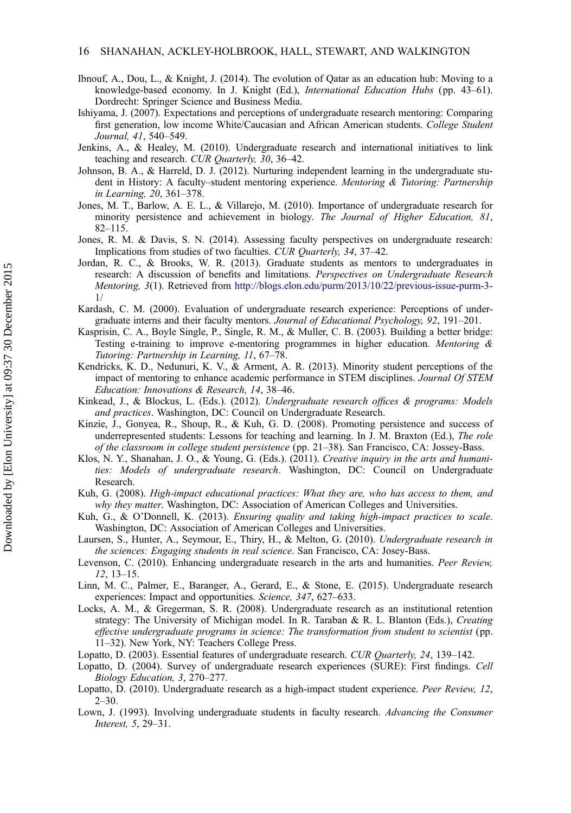- <span id="page-16-0"></span>Ibnouf, A., Dou, L., & Knight, J. (2014). The evolution of Qatar as an education hub: Moving to a knowledge-based economy. In J. Knight (Ed.), International Education Hubs (pp. 43–61). Dordrecht: Springer Science and Business Media.
- Ishiyama, J. (2007). Expectations and perceptions of undergraduate research mentoring: Comparing first generation, low income White/Caucasian and African American students. College Student Journal, 41, 540–549.
- Jenkins, A., & Healey, M. (2010). Undergraduate research and international initiatives to link teaching and research. CUR Quarterly, 30, 36–42.
- Johnson, B. A., & Harreld, D. J. (2012). Nurturing independent learning in the undergraduate student in History: A faculty–student mentoring experience. Mentoring & Tutoring: Partnership in Learning, 20, 361–378.
- Jones, M. T., Barlow, A. E. L., & Villarejo, M. (2010). Importance of undergraduate research for minority persistence and achievement in biology. The Journal of Higher Education, 81, 82–115.
- Jones, R. M. & Davis, S. N. (2014). Assessing faculty perspectives on undergraduate research: Implications from studies of two faculties. CUR Quarterly, 34, 37–42.
- Jordan, R. C., & Brooks, W. R. (2013). Graduate students as mentors to undergraduates in research: A discussion of benefits and limitations. Perspectives on Undergraduate Research Mentoring, 3(1). Retrieved from [http://blogs.elon.edu/purm/2013/10/22/previous-issue-purm-3-](http://blogs.elon.edu/purm/2013/10/22/previous-issue-purm-3-1/) [1/](http://blogs.elon.edu/purm/2013/10/22/previous-issue-purm-3-1/)
- Kardash, C. M. (2000). Evaluation of undergraduate research experience: Perceptions of undergraduate interns and their faculty mentors. Journal of Educational Psychology, 92, 191–201.
- Kasprisin, C. A., Boyle Single, P., Single, R. M., & Muller, C. B. (2003). Building a better bridge: Testing e-training to improve e-mentoring programmes in higher education. Mentoring  $\&$ Tutoring: Partnership in Learning, 11, 67–78.
- Kendricks, K. D., Nedunuri, K. V., & Arment, A. R. (2013). Minority student perceptions of the impact of mentoring to enhance academic performance in STEM disciplines. Journal Of STEM Education: Innovations & Research, 14, 38–46.
- Kinkead, J., & Blockus, L. (Eds.). (2012). Undergraduate research offices & programs: Models and practices. Washington, DC: Council on Undergraduate Research.
- Kinzie, J., Gonyea, R., Shoup, R., & Kuh, G. D. (2008). Promoting persistence and success of underrepresented students: Lessons for teaching and learning. In J. M. Braxton (Ed.), The role of the classroom in college student persistence (pp. 21–38). San Francisco, CA: Jossey-Bass.
- Klos, N. Y., Shanahan, J. O., & Young, G. (Eds.). (2011). Creative inquiry in the arts and humanities: Models of undergraduate research. Washington, DC: Council on Undergraduate Research.
- Kuh, G. (2008). High-impact educational practices: What they are, who has access to them, and why they matter. Washington, DC: Association of American Colleges and Universities.
- Kuh, G., & O'Donnell, K. (2013). Ensuring quality and taking high-impact practices to scale. Washington, DC: Association of American Colleges and Universities.
- Laursen, S., Hunter, A., Seymour, E., Thiry, H., & Melton, G. (2010). Undergraduate research in the sciences: Engaging students in real science. San Francisco, CA: Josey-Bass.
- Levenson, C. (2010). Enhancing undergraduate research in the arts and humanities. Peer Review, 12, 13–15.
- Linn, M. C., Palmer, E., Baranger, A., Gerard, E., & Stone, E. (2015). Undergraduate research experiences: Impact and opportunities. Science, 347, 627–633.
- Locks, A. M., & Gregerman, S. R. (2008). Undergraduate research as an institutional retention strategy: The University of Michigan model. In R. Taraban & R. L. Blanton (Eds.), Creating effective undergraduate programs in science: The transformation from student to scientist (pp. 11–32). New York, NY: Teachers College Press.
- Lopatto, D. (2003). Essential features of undergraduate research. CUR Quarterly, 24, 139–142.
- Lopatto, D. (2004). Survey of undergraduate research experiences (SURE): First findings. Cell Biology Education, 3, 270–277.
- Lopatto, D. (2010). Undergraduate research as a high-impact student experience. Peer Review, 12,  $2 - 30.$
- Lown, J. (1993). Involving undergraduate students in faculty research. Advancing the Consumer Interest, 5, 29–31.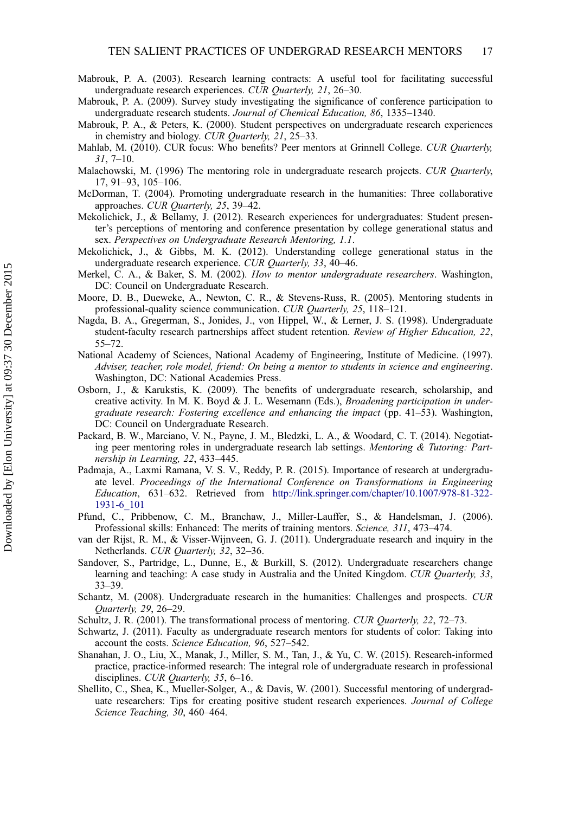- <span id="page-17-0"></span>Mabrouk, P. A. (2003). Research learning contracts: A useful tool for facilitating successful undergraduate research experiences. CUR Quarterly, 21, 26-30.
- Mabrouk, P. A. (2009). Survey study investigating the significance of conference participation to undergraduate research students. Journal of Chemical Education, 86, 1335–1340.
- Mabrouk, P. A., & Peters, K. (2000). Student perspectives on undergraduate research experiences in chemistry and biology. CUR Quarterly, 21, 25–33.
- Mahlab, M. (2010). CUR focus: Who benefits? Peer mentors at Grinnell College. CUR Quarterly,  $31, 7 - 10.$
- Malachowski, M. (1996) The mentoring role in undergraduate research projects. CUR Quarterly, 17, 91–93, 105–106.
- McDorman, T. (2004). Promoting undergraduate research in the humanities: Three collaborative approaches. CUR Quarterly, 25, 39–42.
- Mekolichick, J., & Bellamy, J. (2012). Research experiences for undergraduates: Student presenter's perceptions of mentoring and conference presentation by college generational status and sex. Perspectives on Undergraduate Research Mentoring, 1.1.
- Mekolichick, J., & Gibbs, M. K. (2012). Understanding college generational status in the undergraduate research experience. CUR Quarterly, 33, 40–46.
- Merkel, C. A., & Baker, S. M. (2002). How to mentor undergraduate researchers. Washington, DC: Council on Undergraduate Research.
- Moore, D. B., Dueweke, A., Newton, C. R., & Stevens-Russ, R. (2005). Mentoring students in professional-quality science communication. CUR Quarterly, 25, 118–121.
- Nagda, B. A., Gregerman, S., Jonides, J., von Hippel, W., & Lerner, J. S. (1998). Undergraduate student-faculty research partnerships affect student retention. Review of Higher Education, 22, 55–72.
- National Academy of Sciences, National Academy of Engineering, Institute of Medicine. (1997). Adviser, teacher, role model, friend: On being a mentor to students in science and engineering. Washington, DC: National Academies Press.
- Osborn, J., & Karukstis, K. (2009). The benefits of undergraduate research, scholarship, and creative activity. In M. K. Boyd & J. L. Wesemann (Eds.), *Broadening participation in under*graduate research: Fostering excellence and enhancing the impact (pp. 41–53). Washington, DC: Council on Undergraduate Research.
- Packard, B. W., Marciano, V. N., Payne, J. M., Bledzki, L. A., & Woodard, C. T. (2014). Negotiating peer mentoring roles in undergraduate research lab settings. Mentoring & Tutoring: Partnership in Learning, 22, 433–445.
- Padmaja, A., Laxmi Ramana, V. S. V., Reddy, P. R. (2015). Importance of research at undergraduate level. Proceedings of the International Conference on Transformations in Engineering Education, 631–632. Retrieved from [http://link.springer.com/chapter/10.1007/978-81-322-](http://link.springer.com/chapter/10.1007/978-81-322-1931-6_101) [1931-6\\_101](http://link.springer.com/chapter/10.1007/978-81-322-1931-6_101)
- Pfund, C., Pribbenow, C. M., Branchaw, J., Miller-Lauffer, S., & Handelsman, J. (2006). Professional skills: Enhanced: The merits of training mentors. Science, 311, 473–474.
- van der Rijst, R. M., & Visser-Wijnveen, G. J. (2011). Undergraduate research and inquiry in the Netherlands. CUR Quarterly, 32, 32–36.
- Sandover, S., Partridge, L., Dunne, E., & Burkill, S. (2012). Undergraduate researchers change learning and teaching: A case study in Australia and the United Kingdom. CUR Quarterly, 33, 33–39.
- Schantz, M. (2008). Undergraduate research in the humanities: Challenges and prospects. CUR Quarterly, 29, 26–29.
- Schultz, J. R. (2001). The transformational process of mentoring. CUR Quarterly, 22, 72–73.
- Schwartz, J. (2011). Faculty as undergraduate research mentors for students of color: Taking into account the costs. Science Education, 96, 527-542.
- Shanahan, J. O., Liu, X., Manak, J., Miller, S. M., Tan, J., & Yu, C. W. (2015). Research-informed practice, practice-informed research: The integral role of undergraduate research in professional disciplines. CUR Quarterly, 35, 6-16.
- Shellito, C., Shea, K., Mueller-Solger, A., & Davis, W. (2001). Successful mentoring of undergraduate researchers: Tips for creating positive student research experiences. Journal of College Science Teaching, 30, 460–464.